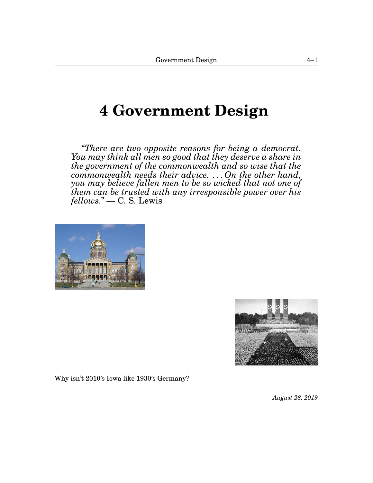# <span id="page-0-1"></span><span id="page-0-0"></span>**[4](#page-0-0) Government Design**

*"There are two opposite reasons for being a democrat. You may think all men so good that they deserve a share in the government of the commonwealth and so wise that the commonwealth needs their advice. . . . On the other hand, you may believe fallen men to be so wicked that not one of them can be trusted with any irresponsible power over his fellows."* — C. S. Lewis





Why isn't 2010's Iowa like 1930's Germany?

*August 28, 2019*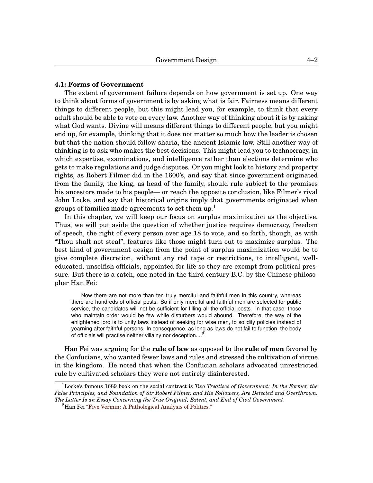## **[4.](#page-0-0)1: Forms of Government**

The extent of government failure depends on how government is set up. One way to think about forms of government is by asking what is fair. Fairness means different things to different people, but this might lead you, for example, to think that every adult should be able to vote on every law. Another way of thinking about it is by asking what God wants. Divine will means different things to different people, but you might end up, for example, thinking that it does not matter so much how the leader is chosen but that the nation should follow sharia, the ancient Islamic law. Still another way of thinking is to ask who makes the best decisions. This might lead you to technocracy, in which expertise, examinations, and intelligence rather than elections determine who gets to make regulations and judge disputes. Or you might look to history and property rights, as Robert Filmer did in the 1600's, and say that since government originated from the family, the king, as head of the family, should rule subject to the promises his ancestors made to his people— or reach the opposite conclusion, like Filmer's rival John Locke, and say that historical origins imply that governments originated when groups of families made agreements to set them up.<sup>[1](#page-0-1)</sup>

In this chapter, we will keep our focus on surplus maximization as the objective. Thus, we will put aside the question of whether justice requires democracy, freedom of speech, the right of every person over age 18 to vote, and so forth, though, as with "Thou shalt not steal", features like those might turn out to maximize surplus. The best kind of government design from the point of surplus maximization would be to give complete discretion, without any red tape or restrictions, to intelligent, welleducated, unselfish officials, appointed for life so they are exempt from political pressure. But there is a catch, one noted in the third century B.C. by the Chinese philosopher Han Fei:

Now there are not more than ten truly merciful and faithful men in this country, whereas there are hundreds of official posts. So if only merciful and faithful men are selected for public service, the candidates will not be sufficient for filling all the official posts. In that case, those who maintain order would be few while disturbers would abound. Therefore, the way of the enlightened lord is to unify laws instead of seeking for wise men, to solidify policies instead of yearning after faithful persons. In consequence, as long as laws do not fail to function, the body of officials will practise neither villainy nor deception....

Han Fei was arguing for the **rule of law** as opposed to the **rule of men** favored by the Confucians, who wanted fewer laws and rules and stressed the cultivation of virtue in the kingdom. He noted that when the Confucian scholars advocated unrestricted rule by cultivated scholars they were not entirely disinterested.

<sup>1</sup>Locke's famous 1689 book on the social contract is *Two Treatises of Government: In the Former, the False Principles, and Foundation of Sir Robert Filmer, and His Followers, Are Detected and Overthrown. The Latter Is an Essay Concerning the True Original, Extent, and End of Civil Government*.

<sup>&</sup>lt;sup>2</sup>Han Fei ["Five Vermin: A Pathological Analysis of Politics."](http://www2.iath.virginia.edu/saxon/servlet/SaxonServlet?source=xwomen/texts/hanfei.xml&style=xwomen/xsl/dynaxml.xsl&chunk.id=d2.49&toc.depth=1&toc.id=0&doc.lang=bilingual )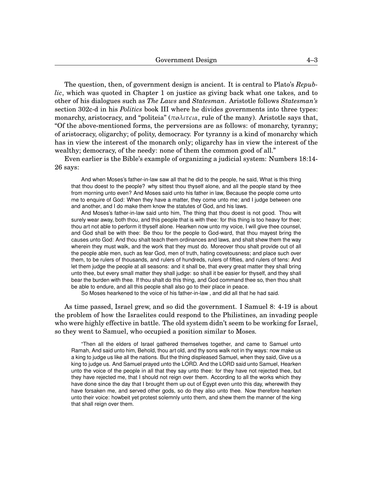The question, then, of government design is ancient. It is central to Plato's *Republic*, which was quoted in Chapter 1 on justice as giving back what one takes, and to other of his dialogues such as *The Laws* and *Statesman*. Aristotle follows *Statesman's* section 302c-d in his *Politics* book III where he divides governments into three types: monarchy, aristocracy, and "politeia" (*π*ø*λιτeια*, rule of the many). Aristotle says that, "Of the above-mentioned forms, the perversions are as follows: of monarchy, tyranny; of aristocracy, oligarchy; of polity, democracy. For tyranny is a kind of monarchy which has in view the interest of the monarch only; oligarchy has in view the interest of the wealthy; democracy, of the needy: none of them the common good of all."

Even earlier is the Bible's example of organizing a judicial system: Numbers 18:14- 26 says:

And when Moses's father-in-law saw all that he did to the people, he said, What is this thing that thou doest to the people? why sittest thou thyself alone, and all the people stand by thee from morning unto even? And Moses said unto his father in law, Because the people come unto me to enquire of God: When they have a matter, they come unto me; and I judge between one and another, and I do make them know the statutes of God, and his laws.

And Moses's father-in-law said unto him, The thing that thou doest is not good. Thou wilt surely wear away, both thou, and this people that is with thee: for this thing is too heavy for thee; thou art not able to perform it thyself alone. Hearken now unto my voice, I will give thee counsel, and God shall be with thee: Be thou for the people to God-ward, that thou mayest bring the causes unto God: And thou shalt teach them ordinances and laws, and shalt shew them the way wherein they must walk, and the work that they must do. Moreover thou shalt provide out of all the people able men, such as fear God, men of truth, hating covetousness; and place such over them, to be rulers of thousands, and rulers of hundreds, rulers of fifties, and rulers of tens: And let them judge the people at all seasons: and it shall be, that every great matter they shall bring unto thee, but every small matter they shall judge: so shall it be easier for thyself, and they shall bear the burden with thee. If thou shalt do this thing, and God command thee so, then thou shalt be able to endure, and all this people shall also go to their place in peace.

So Moses hearkened to the voice of his father-in-law , and did all that he had said.

As time passed, Israel grew, and so did the government. I Samuel 8: 4-19 is about the problem of how the Israelites could respond to the Philistines, an invading people who were highly effective in battle. The old system didn't seem to be working for Israel, so they went to Samuel, who occupied a position similar to Moses.

"Then all the elders of Israel gathered themselves together, and came to Samuel unto Ramah, And said unto him, Behold, thou art old, and thy sons walk not in thy ways: now make us a king to judge us like all the nations. But the thing displeased Samuel, when they said, Give us a king to judge us. And Samuel prayed unto the LORD. And the LORD said unto Samuel, Hearken unto the voice of the people in all that they say unto thee: for they have not rejected thee, but they have rejected me, that I should not reign over them. According to all the works which they have done since the day that I brought them up out of Egypt even unto this day, wherewith they have forsaken me, and served other gods, so do they also unto thee. Now therefore hearken unto their voice: howbeit yet protest solemnly unto them, and shew them the manner of the king that shall reign over them.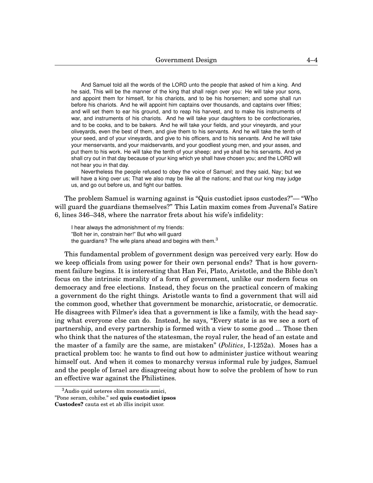And Samuel told all the words of the LORD unto the people that asked of him a king. And he said, This will be the manner of the king that shall reign over you: He will take your sons, and appoint them for himself, for his chariots, and to be his horsemen; and some shall run before his chariots. And he will appoint him captains over thousands, and captains over fifties; and will set them to ear his ground, and to reap his harvest, and to make his instruments of war, and instruments of his chariots. And he will take your daughters to be confectionaries, and to be cooks, and to be bakers. And he will take your fields, and your vineyards, and your oliveyards, even the best of them, and give them to his servants. And he will take the tenth of your seed, and of your vineyards, and give to his officers, and to his servants. And he will take your menservants, and your maidservants, and your goodliest young men, and your asses, and put them to his work. He will take the tenth of your sheep: and ye shall be his servants. And ye shall cry out in that day because of your king which ye shall have chosen you; and the LORD will not hear you in that day.

Nevertheless the people refused to obey the voice of Samuel; and they said, Nay; but we will have a king over us; That we also may be like all the nations; and that our king may judge us, and go out before us, and fight our battles.

The problem Samuel is warning against is "Quis custodiet ipsos custodes?"— "Who will guard the guardians themselves?" This Latin maxim comes from Juvenal's Satire 6, lines 346–348, where the narrator frets about his wife's infidelity:

I hear always the admonishment of my friends: "Bolt her in, constrain her!" But who will guard the guardians? The wife plans ahead and begins with them. $3$ 

This fundamental problem of government design was perceived very early. How do we keep officials from using power for their own personal ends? That is how government failure begins. It is interesting that Han Fei, Plato, Aristotle, and the Bible don't focus on the intrinsic morality of a form of government, unlike our modern focus on democracy and free elections. Instead, they focus on the practical concern of making a government do the right things. Aristotle wants to find a government that will aid the common good, whether that government be monarchic, aristocratic, or democratic. He disagrees with Filmer's idea that a government is like a family, with the head saying what everyone else can do. Instead, he says, "Every state is as we see a sort of partnership, and every partnership is formed with a view to some good ... Those then who think that the natures of the statesman, the royal ruler, the head of an estate and the master of a family are the same, are mistaken" (*Politics*, I-1252a). Moses has a practical problem too: he wants to find out how to administer justice without wearing himself out. And when it comes to monarchy versus informal rule by judges, Samuel and the people of Israel are disagreeing about how to solve the problem of how to run an effective war against the Philistines.

<sup>&</sup>lt;sup>3</sup>Audio quid ueteres olim moneatis amici, "Pone seram, cohibe." sed **quis custodiet ipsos Custodes?** cauta est et ab illis incipit uxor.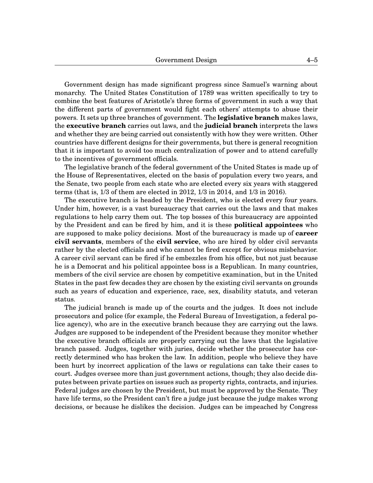Government design has made significant progress since Samuel's warning about monarchy. The United States Constitution of 1789 was written specifically to try to combine the best features of Aristotle's three forms of government in such a way that the different parts of government would fight each others' attempts to abuse their powers. It sets up three branches of government. The **legislative branch** makes laws, the **executive branch** carries out laws, and the **judicial branch** interprets the laws and whether they are being carried out consistently with how they were written. Other countries have different designs for their governments, but there is general recognition that it is important to avoid too much centralization of power and to attend carefully to the incentives of government officials.

The legislative branch of the federal government of the United States is made up of the House of Representatives, elected on the basis of population every two years, and the Senate, two people from each state who are elected every six years with staggered terms (that is, 1/3 of them are elected in 2012, 1/3 in 2014, and 1/3 in 2016).

The executive branch is headed by the President, who is elected every four years. Under him, however, is a vast bureaucracy that carries out the laws and that makes regulations to help carry them out. The top bosses of this bureaucracy are appointed by the President and can be fired by him, and it is these **political appointees** who are supposed to make policy decisions. Most of the bureaucracy is made up of **career civil servants**, members of the **civil service**, who are hired by older civil servants rather by the elected officials and who cannot be fired except for obvious misbehavior. A career civil servant can be fired if he embezzles from his office, but not just because he is a Democrat and his political appointee boss is a Republican. In many countries, members of the civil service are chosen by competitive examination, but in the United States in the past few decades they are chosen by the existing civil servants on grounds such as years of education and experience, race, sex, disability statuts, and veteran status.

The judicial branch is made up of the courts and the judges. It does not include prosecutors and police (for example, the Federal Bureau of Investigation, a federal police agency), who are in the executive branch because they are carrying out the laws. Judges are supposed to be independent of the President because they monitor whether the executive branch officials are properly carrying out the laws that the legislative branch passed. Judges, together with juries, decide whether the prosecutor has correctly determined who has broken the law. In addition, people who believe they have been hurt by incorrect application of the laws or regulations can take their cases to court. Judges oversee more than just government actions, though; they also decide disputes between private parties on issues such as property rights, contracts, and injuries. Federal judges are chosen by the President, but must be approved by the Senate. They have life terms, so the President can't fire a judge just because the judge makes wrong decisions, or because he dislikes the decision. Judges can be impeached by Congress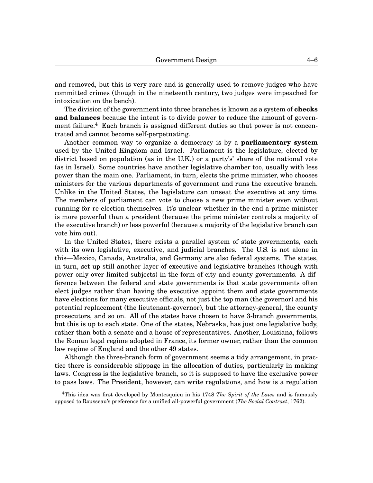and removed, but this is very rare and is generally used to remove judges who have committed crimes (though in the nineteenth century, two judges were impeached for intoxication on the bench).

The division of the government into three branches is known as a system of **checks and balances** because the intent is to divide power to reduce the amount of govern-ment failure.<sup>[4](#page-0-1)</sup> Each branch is assigned different duties so that power is not concentrated and cannot become self-perpetuating.

Another common way to organize a democracy is by a **parliamentary system** used by the United Kingdom and Israel. Parliament is the legislature, elected by district based on population (as in the U.K.) or a party's' share of the national vote (as in Israel). Some countries have another legislative chamber too, usually with less power than the main one. Parliament, in turn, elects the prime minister, who chooses ministers for the various departments of government and runs the executive branch. Unlike in the United States, the legislature can unseat the executive at any time. The members of parliament can vote to choose a new prime minister even without running for re-election themselves. It's unclear whether in the end a prime minister is more powerful than a president (because the prime minister controls a majority of the executive branch) or less powerful (because a majority of the legislative branch can vote him out).

In the United States, there exists a parallel system of state governments, each with its own legislative, executive, and judicial branches. The U.S. is not alone in this—Mexico, Canada, Australia, and Germany are also federal systems. The states, in turn, set up still another layer of executive and legislative branches (though with power only over limited subjects) in the form of city and county governments. A difference between the federal and state governments is that state governments often elect judges rather than having the executive appoint them and state governments have elections for many executive officials, not just the top man (the governor) and his potential replacement (the lieutenant-governor), but the attorney-general, the county prosecutors, and so on. All of the states have chosen to have 3-branch governments, but this is up to each state. One of the states, Nebraska, has just one legislative body, rather than both a senate and a house of representatives. Another, Louisiana, follows the Roman legal regime adopted in France, its former owner, rather than the common law regime of England and the other 49 states.

Although the three-branch form of government seems a tidy arrangement, in practice there is considerable slippage in the allocation of duties, particularly in making laws. Congress is the legislative branch, so it is supposed to have the exclusive power to pass laws. The President, however, can write regulations, and how is a regulation

<sup>4</sup>This idea was first developed by Montesquieu in his 1748 *The Spirit of the Laws* and is famously opposed to Rousseau's preference for a unified all-powerful government (*The Social Contract*, 1762).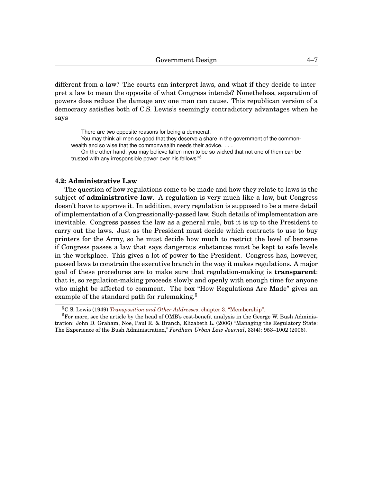different from a law? The courts can interpret laws, and what if they decide to interpret a law to mean the opposite of what Congress intends? Nonetheless, separation of powers does reduce the damage any one man can cause. This republican version of a democracy satisfies both of C.S. Lewis's seemingly contradictory advantages when he says

There are two opposite reasons for being a democrat. You may think all men so good that they deserve a share in the government of the commonwealth and so wise that the commonwealth needs their advice. . . .

On the other hand, you may believe fallen men to be so wicked that not one of them can be trusted with any irresponsible power over his fellows."[5](#page-0-1)

#### **[4.](#page-0-0)2: Administrative Law**

The question of how regulations come to be made and how they relate to laws is the subject of **administrative law**. A regulation is very much like a law, but Congress doesn't have to approve it. In addition, every regulation is supposed to be a mere detail of implementation of a Congressionally-passed law. Such details of implementation are inevitable. Congress passes the law as a general rule, but it is up to the President to carry out the laws. Just as the President must decide which contracts to use to buy printers for the Army, so he must decide how much to restrict the level of benzene if Congress passes a law that says dangerous substances must be kept to safe levels in the workplace. This gives a lot of power to the President. Congress has, however, passed laws to constrain the executive branch in the way it makes regulations. A major goal of these procedures are to make sure that regulation-making is **transparent**: that is, so regulation-making proceeds slowly and openly with enough time for anyone who might be affected to comment. The box "How Regulations Are Made" gives an example of the standard path for rulemaking.<sup>[6](#page-0-1)</sup>

<sup>5</sup>C.S. Lewis (1949) *[Transposition and Other Addresses](http://www.gutenberg.ca/ebooks/lewiscs-transposition/lewiscs-transposition-00-h.html)*, chapter 3, "Membership".

 $6$ For more, see the article by the head of OMB's cost-benefit analysis in the George W. Bush Administration: John D. Graham, Noe, Paul R. & Branch, Elizabeth L. (2006) "Managing the Regulatory State: The Experience of the Bush Administration," *Fordham Urban Law Journal*, 33(4): 953–1002 (2006).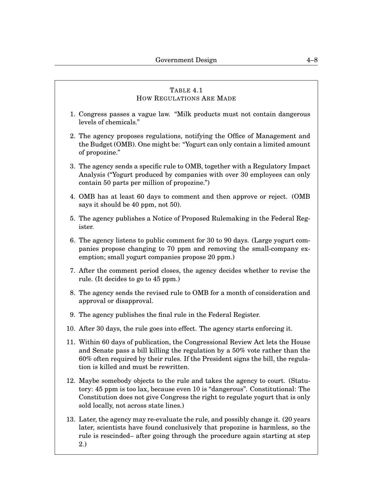# <span id="page-7-0"></span>TABLE [4](#page-0-0)[.1](#page-7-0) HOW REGULATIONS ARE MADE 1. Congress passes a vague law. "Milk products must not contain dangerous levels of chemicals." 2. The agency proposes regulations, notifying the Office of Management and the Budget (OMB). One might be: "Yogurt can only contain a limited amount of propozine." 3. The agency sends a specific rule to OMB, together with a Regulatory Impact Analysis ("Yogurt produced by companies with over 30 employees can only contain 50 parts per million of propozine.") 4. OMB has at least 60 days to comment and then approve or reject. (OMB says it should be 40 ppm, not 50). 5. The agency publishes a Notice of Proposed Rulemaking in the Federal Register. 6. The agency listens to public comment for 30 to 90 days. (Large yogurt companies propose changing to 70 ppm and removing the small-company exemption; small yogurt companies propose 20 ppm.) 7. After the comment period closes, the agency decides whether to revise the rule. (It decides to go to 45 ppm.) 8. The agency sends the revised rule to OMB for a month of consideration and approval or disapproval. 9. The agency publishes the final rule in the Federal Register. 10. After 30 days, the rule goes into effect. The agency starts enforcing it. 11. Within 60 days of publication, the Congressional Review Act lets the House and Senate pass a bill killing the regulation by a 50% vote rather than the 60% often required by their rules. If the President signs the bill, the regulation is killed and must be rewritten. 12. Maybe somebody objects to the rule and takes the agency to court. (Statutory: 45 ppm is too lax, because even 10 is "dangerous". Constitutional: The Constitution does not give Congress the right to regulate yogurt that is only sold locally, not across state lines.) 13. Later, the agency may re-evaluate the rule, and possibly change it. (20 years

later, scientists have found conclusively that propozine is harmless, so the rule is rescinded– after going through the procedure again starting at step 2.)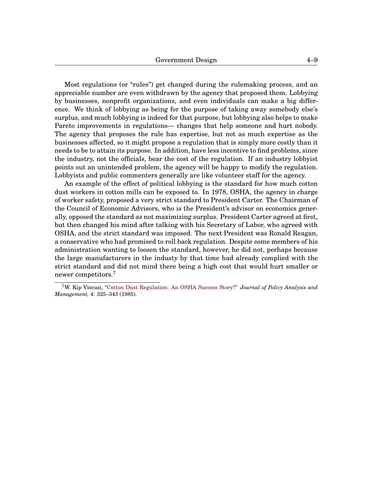Most regulations (or "rules") get changed during the rulemaking process, and an appreciable number are even withdrawn by the agency that proposed them. Lobbying by businesses, nonprofit organizations, and even individuals can make a big difference. We think of lobbying as being for the purpose of taking away somebody else's surplus, and much lobbying is indeed for that purpose, but lobbying also helps to make Pareto improvements in regulations— changes that help someone and hurt nobody. The agency that proposes the rule has expertise, but not as much expertise as the businesses affected, so it might propose a regulation that is simply more costly than it needs to be to attain its purpose. In addition, have less incentive to find problems, since the industry, not the officials, bear the cost of the regulation. If an industry lobbyist points out an unintended problem, the agency will be happy to modify the regulation. Lobbyists and public commenters generally are like volunteer staff for the agency.

An example of the effect of political lobbying is the standard for how much cotton dust workers in cotton mills can be exposed to. In 1978, OSHA, the agency in charge of worker safety, proposed a very strict standard to President Carter. The Chairman of the Council of Economic Advisors, who is the President's advisor on economics generally, opposed the standard as not maximizing surplus. President Carter agreed at first, but then changed his mind after talking with his Secretary of Labor, who agreed with OSHA, and the strict standard was imposed. The next President was Ronald Reagan, a conservative who had promised to roll back regulation. Despite some members of his administration wanting to loosen the standard, however, he did not, perhaps because the large manufacturers in the industy by that time had already complied with the strict standard and did not mind there being a high cost that would hurt smaller or newer competitors.[7](#page-0-1)

<sup>7</sup>W. Kip Viscusi, ["Cotton Dust Regulation: An OSHA Success Story?"](http://law.vanderbilt.edu/files/archive/040_Cotton-Dust-Regulation_An-OSHA-Success-Story.pdf) *Journal of Policy Analysis and Management,* 4: 325–343 (1985).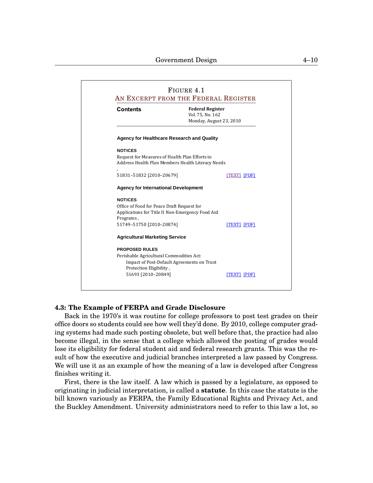<span id="page-9-0"></span>

| <b>Contents</b>                             | <b>Federal Register</b><br>Vol. 75, No. 162<br>Monday, August 23, 2010 |                    |
|---------------------------------------------|------------------------------------------------------------------------|--------------------|
|                                             | <b>Agency for Healthcare Research and Quality</b>                      |                    |
| <b>NOTICES</b>                              |                                                                        |                    |
|                                             | Request for Measures of Health Plan Efforts to                         |                    |
|                                             | Address Health Plan Members Health Literacy Needs                      |                    |
|                                             |                                                                        |                    |
| 51831-51832 [2010-20679]                    |                                                                        | [TEXT] [PDF]       |
| <b>Agency for International Development</b> |                                                                        |                    |
| <b>NOTICES</b>                              |                                                                        |                    |
| Office of Food for Peace Draft Request for  |                                                                        |                    |
|                                             | Applications for Title II Non-Emergency Food Aid                       |                    |
| Programs,                                   |                                                                        |                    |
| 51749-51750 [2010-20874]                    |                                                                        | <b>TEXTI IPDFI</b> |
| <b>Agricultural Marketing Service</b>       |                                                                        |                    |
| <b>PROPOSED RULES</b>                       |                                                                        |                    |
| Perishable Agricultural Commodities Act:    |                                                                        |                    |
|                                             | Impact of Post-Default Agreements on Trust                             |                    |
| Protection Eligibility,                     |                                                                        |                    |
| 51693 [2010-20849]                          |                                                                        | ITEXTI IPDFI       |

#### **[4.](#page-0-0)3: The Example of FERPA and Grade Disclosure**

Back in the 1970's it was routine for college professors to post test grades on their become illegal, in the sense that a college which allowed the posting of grades would office doors so students could see how well they'd done. By 2010, college computer grading systems had made such posting obsolete, but well before that, the practice had also lose its eligibility for federal student aid and federal research grants. This was the result of how the executive and judicial branches interpreted a law passed by Congress. We will use it as an example of how the meaning of a law is developed after Congress finishes writing it.

First, there is the law itself. A law which is passed by a legislature, as opposed to originating in judicial interpretation, is called a **statute**. In this case the statute is the bill known variously as FERPA, the Family Educational Rights and Privacy Act, and the Buckley Amendment. University administrators need to refer to this law a lot, so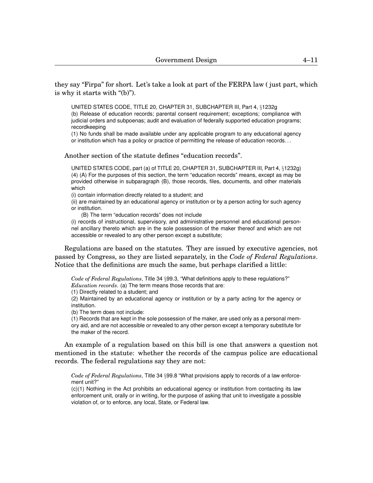UNITED STATES CODE, TITLE 20, CHAPTER 31, SUBCHAPTER III, Part 4, §1232g

(b) Release of education records; parental consent requirement; exceptions; compliance with judicial orders and subpoenas; audit and evaluation of federally supported education programs; recordkeeping

(1) No funds shall be made available under any applicable program to any educational agency or institution which has a policy or practice of permitting the release of education records. . .

Another section of the statute defines "education records".

UNITED STATES CODE, part (a) of TITLE 20, CHAPTER 31, SUBCHAPTER III, Part 4, §1232g) (4) (A) For the purposes of this section, the term "education records" means, except as may be provided otherwise in subparagraph (B), those records, files, documents, and other materials which

(i) contain information directly related to a student; and

(ii) are maintained by an educational agency or institution or by a person acting for such agency or institution.

(B) The term "education records" does not include

(i) records of instructional, supervisory, and administrative personnel and educational personnel ancillary thereto which are in the sole possession of the maker thereof and which are not accessible or revealed to any other person except a substitute;

Regulations are based on the statutes. They are issued by executive agencies, not passed by Congress, so they are listed separately, in the *Code of Federal Regulations*. Notice that the definitions are much the same, but perhaps clarified a little:

*Code of Federal Regulations*, Title 34 §99.3, "What definitions apply to these regulations?" *Education records*. (a) The term means those records that are:

(1) Directly related to a student; and

(2) Maintained by an educational agency or institution or by a party acting for the agency or institution.

(b) The term does not include:

is why it starts with "(b)").

(1) Records that are kept in the sole possession of the maker, are used only as a personal memory aid, and are not accessible or revealed to any other person except a temporary substitute for the maker of the record.

An example of a regulation based on this bill is one that answers a question not mentioned in the statute: whether the records of the campus police are educational records. The federal regulations say they are not:

*Code of Federal Regulations*, Title 34 §99.8 "What provisions apply to records of a law enforcement unit?"

(c)(1) Nothing in the Act prohibits an educational agency or institution from contacting its law enforcement unit, orally or in writing, for the purpose of asking that unit to investigate a possible violation of, or to enforce, any local, State, or Federal law.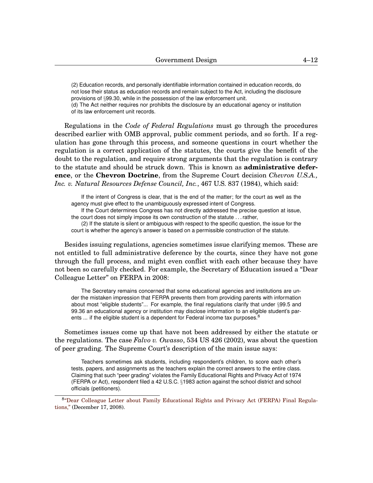(2) Education records, and personally identifiable information contained in education records, do not lose their status as education records and remain subject to the Act, including the disclosure provisions of §99.30, while in the possession of the law enforcement unit.

(d) The Act neither requires nor prohibits the disclosure by an educational agency or institution of its law enforcement unit records.

Regulations in the *Code of Federal Regulations* must go through the procedures described earlier with OMB approval, public comment periods, and so forth. If a regulation has gone through this process, and someone questions in court whether the regulation is a correct application of the statutes, the courts give the benefit of the doubt to the regulation, and require strong arguments that the regulation is contrary to the statute and should be struck down. This is known as **administrative deference**, or the **Chevron Doctrine**, from the Supreme Court decision *Chevron U.S.A., Inc. v. Natural Resources Defense Council, Inc.*, 467 U.S. 837 (1984), which said:

If the intent of Congress is clear, that is the end of the matter; for the court as well as the agency must give effect to the unambiguously expressed intent of Congress.

If the Court determines Congress has not directly addressed the precise question at issue, the court does not simply impose its own construction of the statute . . . rather,

(2) If the statute is silent or ambiguous with respect to the specific question, the issue for the court is whether the agency's answer is based on a permissible construction of the statute.

Besides issuing regulations, agencies sometimes issue clarifying memos. These are not entitled to full administrative deference by the courts, since they have not gone through the full process, and might even conflict with each other because they have not been so carefully checked. For example, the Secretary of Education issued a "Dear Colleague Letter" on FERPA in 2008:

The Secretary remains concerned that some educational agencies and institutions are under the mistaken impression that FERPA prevents them from providing parents with information about most "eligible students"... For example, the final regulations clarify that under §99.5 and 99.36 an educational agency or institution may disclose information to an eligible student's parents ... if the eligible student is a dependent for Federal income tax purposes. $8$ 

Sometimes issues come up that have not been addressed by either the statute or the regulations. The case *Falvo v. Owasso*, 534 US 426 (2002), was about the question of peer grading. The Supreme Court's description of the main issue says:

Teachers sometimes ask students, including respondent's children, to score each other's tests, papers, and assignments as the teachers explain the correct answers to the entire class. Claiming that such "peer grading" violates the Family Educational Rights and Privacy Act of 1974 (FERPA or Act), respondent filed a 42 U.S.C. §1983 action against the school district and school officials (petitioners).

<sup>8</sup> ["Dear Colleague Letter about Family Educational Rights and Privacy Act \(FERPA\) Final Regula](http://www2.ed.gov/policy/gen/guid/fpco/hottopics/ht12-17-08.html)[tions,"](http://www2.ed.gov/policy/gen/guid/fpco/hottopics/ht12-17-08.html) (December 17, 2008).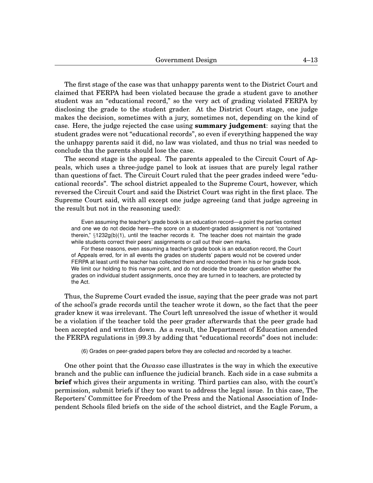The first stage of the case was that unhappy parents went to the District Court and claimed that FERPA had been violated because the grade a student gave to another student was an "educational record," so the very act of grading violated FERPA by disclosing the grade to the student grader. At the District Court stage, one judge makes the decision, sometimes with a jury, sometimes not, depending on the kind of case. Here, the judge rejected the case using **summary judgement**: saying that the student grades were not "educational records", so even if everything happened the way the unhappy parents said it did, no law was violated, and thus no trial was needed to conclude tha the parents should lose the case.

The second stage is the appeal. The parents appealed to the Circuit Court of Appeals, which uses a three-judge panel to look at issues that are purely legal rather than questions of fact. The Circuit Court ruled that the peer grades indeed were "educational records". The school district appealed to the Supreme Court, however, which reversed the Circuit Court and said the District Court was right in the first place. The Supreme Court said, with all except one judge agreeing (and that judge agreeing in the result but not in the reasoning used):

Even assuming the teacher's grade book is an education record—a point the parties contest and one we do not decide here—the score on a student-graded assignment is not "contained therein," §1232g(b)(1), until the teacher records it. The teacher does not maintain the grade while students correct their peers' assignments or call out their own marks.

For these reasons, even assuming a teacher's grade book is an education record, the Court of Appeals erred, for in all events the grades on students' papers would not be covered under FERPA at least until the teacher has collected them and recorded them in his or her grade book. We limit our holding to this narrow point, and do not decide the broader question whether the grades on individual student assignments, once they are turned in to teachers, are protected by the Act.

Thus, the Supreme Court evaded the issue, saying that the peer grade was not part of the school's grade records until the teacher wrote it down, so the fact that the peer grader knew it was irrelevant. The Court left unresolved the issue of whether it would be a violation if the teacher told the peer grader afterwards that the peer grade had been accepted and written down. As a result, the Department of Education amended the FERPA regulations in §99.3 by adding that "educational records" does not include:

(6) Grades on peer-graded papers before they are collected and recorded by a teacher.

One other point that the *Owasso* case illustrates is the way in which the executive branch and the public can influence the judicial branch. Each side in a case submits a **brief** which gives their arguments in writing. Third parties can also, with the court's permission, submit briefs if they too want to address the legal issue. In this case, The Reporters' Committee for Freedom of the Press and the National Association of Independent Schools filed briefs on the side of the school district, and the Eagle Forum, a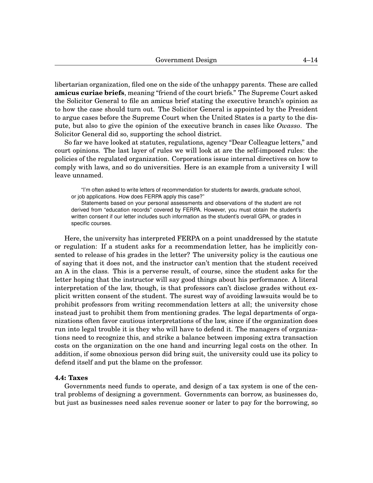libertarian organization, filed one on the side of the unhappy parents. These are called **amicus curiae briefs**, meaning "friend of the court briefs." The Supreme Court asked the Solicitor General to file an amicus brief stating the executive branch's opinion as to how the case should turn out. The Solicitor General is appointed by the President to argue cases before the Supreme Court when the United States is a party to the dispute, but also to give the opinion of the executive branch in cases like *Owasso*. The Solicitor General did so, supporting the school district.

So far we have looked at statutes, regulations, agency "Dear Colleague letters," and court opinions. The last layer of rules we will look at are the self-imposed rules: the policies of the regulated organization. Corporations issue internal directives on how to comply with laws, and so do universities. Here is an example from a university I will leave unnamed.

"I'm often asked to write letters of recommendation for students for awards, graduate school, or job applications. How does FERPA apply this case?"

Statements based on your personal assessments and observations of the student are not derived from "education records" covered by FERPA. However, you must obtain the student's written consent if our letter includes such information as the student's overall GPA, or grades in specific courses.

Here, the university has interpreted FERPA on a point unaddressed by the statute or regulation: If a student asks for a recommendation letter, has he implicitly consented to release of his grades in the letter? The university policy is the cautious one of saying that it does not, and the instructor can't mention that the student received an A in the class. This is a perverse result, of course, since the student asks for the letter hoping that the instructor will say good things about his performance. A literal interpretation of the law, though, is that professors can't disclose grades without explicit written consent of the student. The surest way of avoiding lawsuits would be to prohibit professors from writing recommendation letters at all; the university chose instead just to prohibit them from mentioning grades. The legal departments of organizations often favor cautious interpretations of the law, since if the organization does run into legal trouble it is they who will have to defend it. The managers of organizations need to recognize this, and strike a balance between imposing extra transaction costs on the organization on the one hand and incurring legal costs on the other. In addition, if some obnoxious person did bring suit, the university could use its policy to defend itself and put the blame on the professor.

#### **[4.](#page-0-0)4: Taxes**

Governments need funds to operate, and design of a tax system is one of the central problems of designing a government. Governments can borrow, as businesses do, but just as businesses need sales revenue sooner or later to pay for the borrowing, so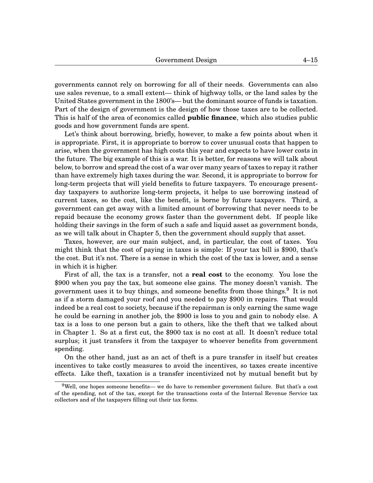governments cannot rely on borrowing for all of their needs. Governments can also use sales revenue, to a small extent— think of highway tolls, or the land sales by the United States government in the 1800's— but the dominant source of funds is taxation. Part of the design of government is the design of how those taxes are to be collected. This is half of the area of economics called **public finance**, which also studies public goods and how government funds are spent.

Let's think about borrowing, briefly, however, to make a few points about when it is appropriate. First, it is appropriate to borrow to cover unusual costs that happen to arise, when the government has high costs this year and expects to have lower costs in the future. The big example of this is a war. It is better, for reasons we will talk about below, to borrow and spread the cost of a war over many years of taxes to repay it rather than have extremely high taxes during the war. Second, it is appropriate to borrow for long-term projects that will yield benefits to future taxpayers. To encourage presentday taxpayers to authorize long-term projects, it helps to use borrowing instead of current taxes, so the cost, like the benefit, is borne by future taxpayers. Third, a government can get away with a limited amount of borrowing that never needs to be repaid because the economy grows faster than the government debt. If people like holding their savings in the form of such a safe and liquid asset as government bonds, as we will talk about in Chapter 5, then the government should supply that asset.

Taxes, however, are our main subject, and, in particular, the cost of taxes. You might think that the cost of paying in taxes is simple: If your tax bill is \$900, that's the cost. But it's not. There is a sense in which the cost of the tax is lower, and a sense in which it is higher.

First of all, the tax is a transfer, not a **real cost** to the economy. You lose the \$900 when you pay the tax, but someone else gains. The money doesn't vanish. The government uses it to buy things, and someone benefits from those things.<sup>[9](#page-0-1)</sup> It is not as if a storm damaged your roof and you needed to pay \$900 in repairs. That would indeed be a real cost to society, because if the repairman is only earning the same wage he could be earning in another job, the \$900 is loss to you and gain to nobody else. A tax is a loss to one person but a gain to others, like the theft that we talked about in Chapter 1. So at a first cut, the \$900 tax is no cost at all. It doesn't reduce total surplus; it just transfers it from the taxpayer to whoever benefits from government spending.

On the other hand, just as an act of theft is a pure transfer in itself but creates incentives to take costly measures to avoid the incentives, so taxes create incentive effects. Like theft, taxation is a transfer incentivized not by mutual benefit but by

 $9$ Well, one hopes someone benefits— we do have to remember government failure. But that's a cost of the spending, not of the tax, except for the transactions costs of the Internal Revenue Service tax collectors and of the taxpayers filling out their tax forms.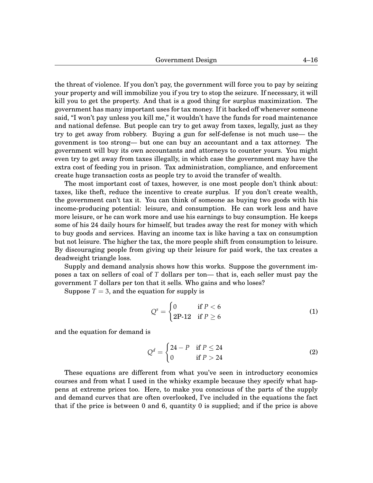the threat of violence. If you don't pay, the government will force you to pay by seizing your property and will immobilize you if you try to stop the seizure. If necessary, it will kill you to get the property. And that is a good thing for surplus maximization. The government has many important uses for tax money. If it backed off whenever someone said, "I won't pay unless you kill me," it wouldn't have the funds for road maintenance and national defense. But people can try to get away from taxes, legally, just as they try to get away from robbery. Buying a gun for self-defense is not much use— the govenment is too strong— but one can buy an accountant and a tax attorney. The government will buy its own accountants and attorneys to counter yours. You might even try to get away from taxes illegally, in which case the government may have the extra cost of feeding you in prison. Tax administration, compliance, and enforcement create huge transaction costs as people try to avoid the transfer of wealth.

The most important cost of taxes, however, is one most people don't think about: taxes, like theft, reduce the incentive to create surplus. If you don't create wealth, the government can't tax it. You can think of someone as buying two goods with his income-producing potential: leisure, and consumption. He can work less and have more leisure, or he can work more and use his earnings to buy consumption. He keeps some of his 24 daily hours for himself, but trades away the rest for money with which to buy goods and services. Having an income tax is like having a tax on consumption but not leisure. The higher the tax, the more people shift from consumption to leisure. By discouraging people from giving up their leisure for paid work, the tax creates a deadweight triangle loss.

Supply and demand analysis shows how this works. Suppose the government imposes a tax on sellers of coal of *T* dollars per ton— that is, each seller must pay the government *T* dollars per ton that it sells. Who gains and who loses?

Suppose  $T = 3$ , and the equation for supply is

$$
Qs = \begin{cases} 0 & \text{if } P < 6\\ 2P-12 & \text{if } P \ge 6 \end{cases}
$$
 (1)

and the equation for demand is

$$
Qd = \begin{cases} 24 - P & \text{if } P \le 24 \\ 0 & \text{if } P > 24 \end{cases}
$$
 (2)

These equations are different from what you've seen in introductory economics courses and from what I used in the whisky example because they specify what happens at extreme prices too. Here, to make you conscious of the parts of the supply and demand curves that are often overlooked, I've included in the equations the fact that if the price is between 0 and 6, quantity 0 is supplied; and if the price is above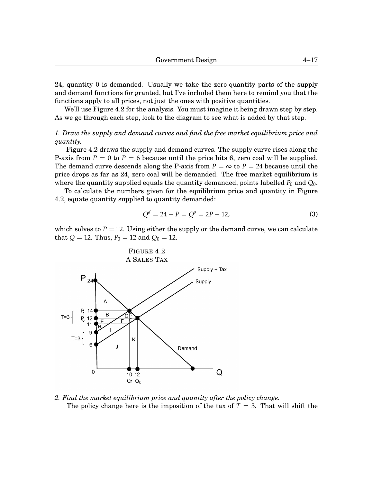24, quantity 0 is demanded. Usually we take the zero-quantity parts of the supply and demand functions for granted, but I've included them here to remind you that the functions apply to all prices, not just the ones with positive quantities.

We'll use Figure 4[.2](#page-16-0) for the analysis. You must imagine it being drawn step by step. As we go through each step, look to the diagram to see what is added by that step.

*1. Draw the supply and demand curves and find the free market equilibrium price and quantity.*

Figure 4[.2](#page-16-0) draws the supply and demand curves. The supply curve rises along the P-axis from  $P = 0$  to  $P = 6$  because until the price hits 6, zero coal will be supplied. The demand curve descends along the P-axis from  $P = \infty$  to  $P = 24$  because until the price drops as far as 24, zero coal will be demanded. The free market equilibrium is where the quantity supplied equals the quantity demanded, points labelled  $P_0$  and  $Q_0$ .

To calculate the numbers given for the equilibrium price and quantity in Figure 4[.2,](#page-16-0) equate quantity supplied to quantity demanded:

$$
Q^d = 24 - P = Q^s = 2P - 12,\tag{3}
$$

which solves to  $P = 12$ . Using either the supply or the demand curve, we can calculate that  $Q = 12$ . Thus,  $P_0 = 12$  and  $Q_0 = 12$ .

<span id="page-16-0"></span>

*2. Find the market equilibrium price and quantity after the policy change.* The policy change here is the imposition of the tax of  $T = 3$ . That will shift the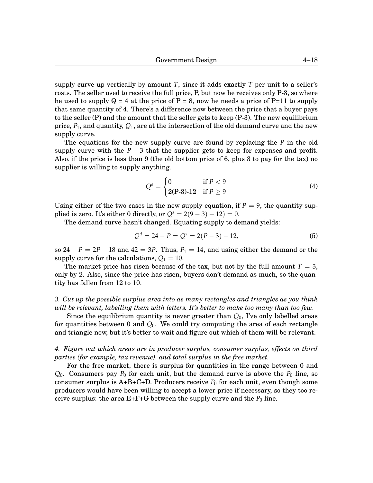supply curve up vertically by amount *T*, since it adds exactly *T* per unit to a seller's costs. The seller used to receive the full price, P, but now he receives only P-3, so where he used to supply  $Q = 4$  at the price of P = 8, now he needs a price of P=11 to supply that same quantity of 4. There's a difference now between the price that a buyer pays to the seller (P) and the amount that the seller gets to keep (P-3). The new equilibrium price, *P*1, and quantity, *Q*1, are at the intersection of the old demand curve and the new supply curve.

The equations for the new supply curve are found by replacing the *P* in the old supply curve with the  $P - 3$  that the supplier gets to keep for expenses and profit. Also, if the price is less than 9 (the old bottom price of 6, plus 3 to pay for the tax) no supplier is willing to supply anything.

$$
Qs = \begin{cases} 0 & \text{if } P < 9\\ 2(P-3)-12 & \text{if } P \ge 9 \end{cases}
$$
 (4)

Using either of the two cases in the new supply equation, if  $P = 9$ , the quantity supplied is zero. It's either 0 directly, or  $Q^s = 2(9-3) - 12 = 0$ .

The demand curve hasn't changed. Equating supply to demand yields:

$$
Qd = 24 - P = Qs = 2(P - 3) - 12,
$$
\n(5)

so  $24 - P = 2P - 18$  and  $42 = 3P$ . Thus,  $P_1 = 14$ , and using either the demand or the supply curve for the calculations,  $Q_1 = 10$ .

The market price has risen because of the tax, but not by the full amount  $T = 3$ , only by 2. Also, since the price has risen, buyers don't demand as much, so the quantity has fallen from 12 to 10.

# *3. Cut up the possible surplus area into as many rectangles and triangles as you think will be relevant, labelling them with letters. It's better to make too many than too few.*

Since the equilibrium quantity is never greater than *Q*0, I've only labelled areas for quantities between 0 and *Q*0. We could try computing the area of each rectangle and triangle now, but it's better to wait and figure out which of them will be relevant.

## *4. Figure out which areas are in producer surplus, consumer surplus, effects on third parties (for example, tax revenue), and total surplus in the free market.*

For the free market, there is surplus for quantities in the range between 0 and  $Q_0$ . Consumers pay  $P_0$  for each unit, but the demand curve is above the  $P_0$  line, so consumer surplus is  $A+B+C+D$ . Producers receive  $P_0$  for each unit, even though some producers would have been willing to accept a lower price if necessary, so they too receive surplus: the area  $E+F+G$  between the supply curve and the  $P_0$  line.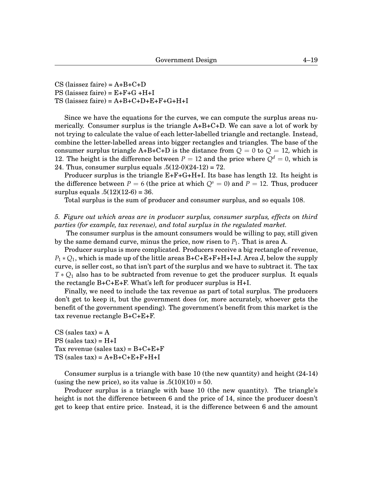CS (laissez faire) =  $A+B+C+D$  $PS$  (laissez faire) =  $E + F + G + H + I$  $TS$  (laissez faire) =  $A + B + C + D + E + F + G + H + I$ 

Since we have the equations for the curves, we can compute the surplus areas numerically. Consumer surplus is the triangle A+B+C+D. We can save a lot of work by not trying to calculate the value of each letter-labelled triangle and rectangle. Instead, combine the letter-labelled areas into bigger rectangles and triangles. The base of the consumer surplus triangle  $A+B+C+D$  is the distance from  $Q = 0$  to  $Q = 12$ , which is 12. The height is the difference between  $P = 12$  and the price where  $Q<sup>d</sup> = 0$ , which is 24. Thus, consumer surplus equals  $.5(12-0)(24-12) = 72$ .

Producer surplus is the triangle  $E+F+G+H+I$ . Its base has length 12. Its height is the difference between  $P = 6$  (the price at which  $Q<sup>s</sup> = 0$ ) and  $P = 12$ . Thus, producer surplus equals  $.5(12)(12-6) = 36$ .

Total surplus is the sum of producer and consumer surplus, and so equals 108.

#### *5. Figure out which areas are in producer surplus, consumer surplus, effects on third parties (for example, tax revenue), and total surplus in the regulated market.*

The consumer surplus is the amount consumers would be willing to pay, still given by the same demand curve, minus the price, now risen to  $P_1$ . That is area A.

Producer surplus is more complicated. Producers receive a big rectangle of revenue,  $P_1 * Q_1$ , which is made up of the little areas  $B+C+E+F+H+I+J$ . Area J, below the supply curve, is seller cost, so that isn't part of the surplus and we have to subtract it. The tax *T* ∗  $Q_1$  also has to be subtracted from revenue to get the producer surplus. It equals the rectangle B+C+E+F. What's left for producer surplus is H+I.

Finally, we need to include the tax revenue as part of total surplus. The producers don't get to keep it, but the government does (or, more accurately, whoever gets the benefit of the government spending). The government's benefit from this market is the tax revenue rectangle B+C+E+F.

CS (sales  $tax$ ) = A  $PS$  (sales tax) =  $H+I$ Tax revenue (sales  $tax$ ) =  $B+C+E+F$  $TS$  (sales  $tax$ ) =  $A+B+C+E+F+H+I$ 

Consumer surplus is a triangle with base 10 (the new quantity) and height (24-14) (using the new price), so its value is  $.5(10)(10) = 50$ .

Producer surplus is a triangle with base 10 (the new quantity). The triangle's height is not the difference between 6 and the price of 14, since the producer doesn't get to keep that entire price. Instead, it is the difference between 6 and the amount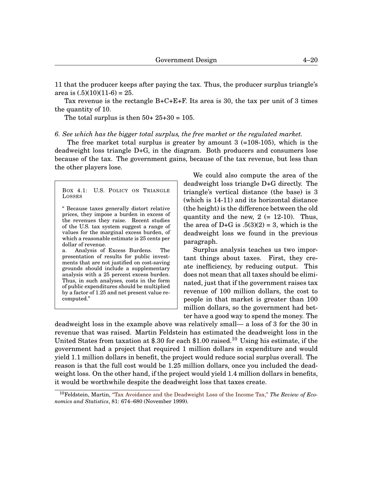11 that the producer keeps after paying the tax. Thus, the producer surplus triangle's area is  $(.5)(10)(11-6) = 25$ .

Tax revenue is the rectangle  $B+C+E+F$ . Its area is 30, the tax per unit of 3 times the quantity of 10.

The total surplus is then  $50+25+30=105$ .

#### *6. See which has the bigger total surplus, the free market or the regulated market.*

The free market total surplus is greater by amount  $3$  (=108-105), which is the deadweight loss triangle D+G, in the diagram. Both producers and consumers lose because of the tax. The government gains, because of the tax revenue, but less than the other players lose.

<span id="page-19-0"></span>BOX 4[.1:](#page-19-0) U.S. POLICY ON TRIANGLE LOSSES

" Because taxes generally distort relative prices, they impose a burden in excess of the revenues they raise. Recent studies of the U.S. tax system suggest a range of values for the marginal excess burden, of which a reasonable estimate is 25 cents per dollar of revenue.

a. Analysis of Excess Burdens. The presentation of results for public investments that are not justified on cost-saving grounds should include a supplementary analysis with a 25 percent excess burden. Thus, in such analyses, costs in the form of public expenditures should be multiplied by a factor of 1.25 and net present value recomputed."

We could also compute the area of the deadweight loss triangle D+G directly. The triangle's vertical distance (the base) is 3 (which is 14-11) and its horizontal distance (the height) is the difference between the old quantity and the new,  $2 (= 12-10)$ . Thus, the area of D+G is  $.5(3)(2) = 3$ , which is the deadweight loss we found in the previous paragraph.

Surplus analysis teaches us two important things about taxes. First, they create inefficiency, by reducing output. This does not mean that all taxes should be eliminated, just that if the government raises tax revenue of 100 million dollars, the cost to people in that market is greater than 100 million dollars, so the government had better have a good way to spend the money. The

deadweight loss in the example above was relatively small— a loss of 3 for the 30 in revenue that was raised. Martin Feldstein has estimated the deadweight loss in the United States from taxation at \$.30 for each \$1.00 raised.<sup>[10](#page-0-1)</sup> Using his estimate, if the government had a project that required 1 million dollars in expenditure and would yield 1.1 million dollars in benefit, the project would reduce social surplus overall. The reason is that the full cost would be 1.25 million dollars, once you included the deadweight loss. On the other hand, if the project would yield 1.4 million dollars in benefits, it would be worthwhile despite the deadweight loss that taxes create.

<sup>10</sup>Feldstein, Martin, ["Tax Avoidance and the Deadweight Loss of the Income Tax,"](http://www.mitpressjournals.org/doi/abs/10.1162/003465399558391) *The Review of Economics and Statistics*, 81: 674–680 (November 1999).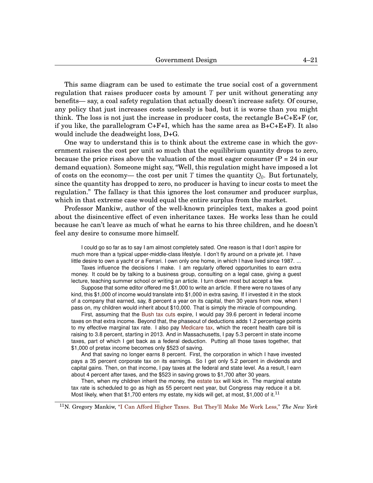This same diagram can be used to estimate the true social cost of a government regulation that raises producer costs by amount *T* per unit without generating any benefits— say, a coal safety regulation that actually doesn't increase safety. Of course, any policy that just increases costs uselessly is bad, but it is worse than you might think. The loss is not just the increase in producer costs, the rectangle  $B+C+E+F$  (or, if you like, the parallelogram  $C+F+I$ , which has the same area as  $B+C+E+F$ ). It also would include the deadweight loss, D+G.

One way to understand this is to think about the extreme case in which the government raises the cost per unit so much that the equilibrium quantity drops to zero, because the price rises above the valuation of the most eager consumer ( $P = 24$  in our demand equation). Someone might say, "Well, this regulation might have imposed a lot of costs on the economy— the cost per unit *T* times the quantity  $Q_0$ . But fortunately, since the quantity has dropped to zero, no producer is having to incur costs to meet the regulation." The fallacy is that this ignores the lost consumer and producer surplus, which in that extreme case would equal the entire surplus from the market.

Professor Mankiw, author of the well-known principles text, makes a good point about the disincentive effect of even inheritance taxes. He works less than he could because he can't leave as much of what he earns to his three children, and he doesn't feel any desire to consume more himself.

I could go so far as to say I am almost completely sated. One reason is that I don't aspire for much more than a typical upper-middle-class lifestyle. I don't fly around on a private jet. I have little desire to own a yacht or a Ferrari. I own only one home, in which I have lived since 1987. ...

Taxes influence the decisions I make. I am regularly offered opportunities to earn extra money. It could be by talking to a business group, consulting on a legal case, giving a guest lecture, teaching summer school or writing an article. I turn down most but accept a few.

Suppose that some editor offered me \$1,000 to write an article. If there were no taxes of any kind, this \$1,000 of income would translate into \$1,000 in extra saving. If I invested it in the stock of a company that earned, say, 8 percent a year on its capital, then 30 years from now, when I pass on, my children would inherit about \$10,000. That is simply the miracle of compounding.

First, assuming that the [Bush tax cuts](http://topics.nytimes.com/top/reference/timestopics/subjects/t/taxation/bush_tax_cuts/index.ht ml?inline=nyt-classifier") expire, I would pay 39.6 percent in federal income taxes on that extra income. Beyond that, the phaseout of deductions adds 1.2 percentage points to my effective marginal tax rate. I also pay [Medicare tax,](http://topics.nytimes.com/top/news/health/diseasesconditionsandhealthtopics/medicare/index.htm l?inline=nyt-classifier) which the recent health care bill is raising to 3.8 percent, starting in 2013. And in Massachusetts, I pay 5.3 percent in state income taxes, part of which I get back as a federal deduction. Putting all those taxes together, that \$1,000 of pretax income becomes only \$523 of saving.

And that saving no longer earns 8 percent. First, the corporation in which I have invested pays a 35 percent corporate tax on its earnings. So I get only 5.2 percent in dividends and capital gains. Then, on that income, I pay taxes at the federal and state level. As a result, I earn about 4 percent after taxes, and the \$523 in saving grows to \$1,700 after 30 years.

Then, when my children inherit the money, the [estate tax](http://topics.nytimes.com/your- money/planning/estate-planning/index.html) will kick in. The marginal estate tax rate is scheduled to go as high as 55 percent next year, but Congress may reduce it a bit. Most likely, when that \$1,700 enters my estate, my kids will get, at most, \$1,000 of it.<sup>[11](#page-0-1)</sup>

<sup>11</sup>N. Gregory Mankiw, ["I Can Afford Higher Taxes. But They'll Make Me Work Less,''](http://taxprof.typepad.com/taxprof_blog/2010/10/mankiw-i-can.html) *The New York*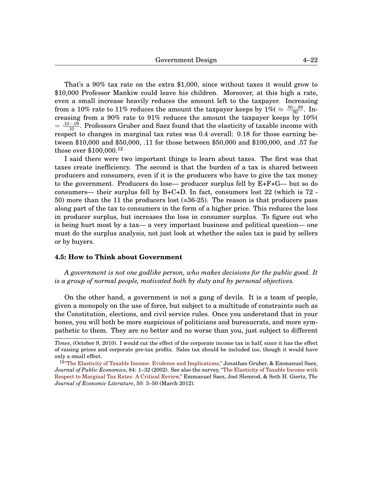That's a 90% tax rate on the extra \$1,000, since without taxes it would grow to \$10,000 Professor Mankiw could leave his children. Moreover, at this high a rate, even a small increase heavily reduces the amount left to the taxpayer. Increasing from a 10% rate to 11% reduces the amount the taxpayer keeps by 1%(  $\approx \frac{.90-.89}{.90}$ . Increasing from a 90% rate to 91% reduces the amount the taxpayer keeps by  $10\%$  $=$   $\frac{.10-.09}{.10}$ . Professors Gruber and Saez found that the elasticity of taxable income with respect to changes in marginal tax rates was 0.4 overall: 0.18 for those earning between \$10,000 and \$50,000, .11 for those between \$50,000 and \$100,000, and .57 for those over \$100,000.[12](#page-0-1)

I said there were two important things to learn about taxes. The first was that taxes create inefficiency. The second is that the burden of a tax is shared between producers and consumers, even if it is the producers who have to give the tax money to the government. Producers do lose— producer surplus fell by E+F+G— but so do consumers— their surplus fell by  $B+C+D$ . In fact, consumers lost 22 (which is 72 -50) more than the 11 the producers lost (=36-25). The reason is that producers pass along part of the tax to consumers in the form of a higher price. This reduces the loss in producer surplus, but increases the loss in consumer surplus. To figure out who is being hurt most by a tax— a very important business and political question— one must do the surplus analysis, not just look at whether the sales tax is paid by sellers or by buyers.

#### **4.5: How to Think about Government**

*A government is not one godlike person, who makes decisions for the public good. It is a group of normal people, motivated both by duty and by personal objectives.*

On the other hand, a government is not a gang of devils. It is a team of people, given a monopoly on the use of force, but subject to a multitude of constraints such as the Constitution, elections, and civil service rules. Once you understand that in your bones, you will both be more suspicious of politicians and bureaucrats, and more sympathetic to them. They are no better and no worse than you, just subject to different

*Times*, (October 9, 2010). I would cut the effect of the corporate income tax in half, since it has the effect of raising prices and corporate pre-tax profits. Sales tax should be included too, though it would have only a small effect.

<sup>&</sup>lt;sup>12</sup>["The Elasticity of Taxable Income: Evidence and Implications,"](http://econpapers.repec.org/article/eeepubeco/v_3a84_3ay_3a2002_3ai_3a1_3ap_3a1-32.htm) Jonathan Gruber, & Emmanuel Saez, *Journal of Public Economics*, 84: 1–32 (2002). See also the survey, ["The Elasticity of Taxable Income with]( http://www.aeaweb.org/articles.php?doi=10.1257/jel.50.1.3) [Respect to Marginal Tax Rates: A Critical Review,"]( http://www.aeaweb.org/articles.php?doi=10.1257/jel.50.1.3) Emmanuel Saez, Joel Slemrod, & Seth H. Giertz, *The Journal of Economic Literature*, 50: 3–50 (March 2012).